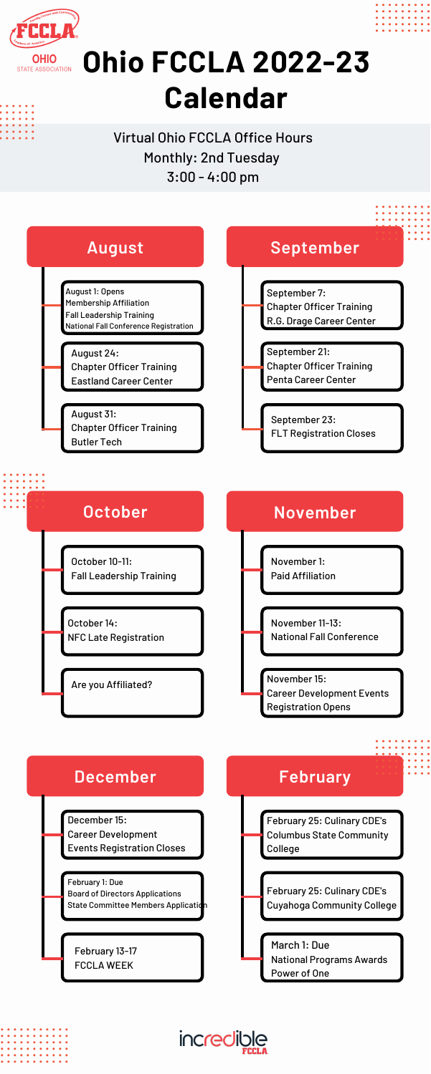

## **OHIO <b>Dhio FCCLA** 2022-23 **Calendar**

Virtual Ohio FCCLA Office Hours Monthly: 2nd Tuesday 3:00 - 4:00 pm



October 10-11: Fall Leadership Training

October 14: NFC Late Registration





Paid Affiliation